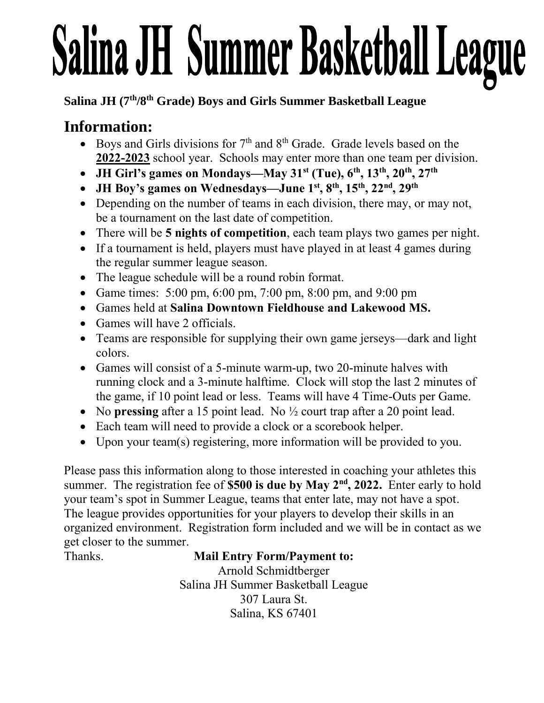# Salina JH Summer Basketball League

#### **Salina JH (7th/8th Grade) Boys and Girls Summer Basketball League**

## **Information:**

- Boys and Girls divisions for  $7<sup>th</sup>$  and  $8<sup>th</sup>$  Grade. Grade levels based on the **2022-2023** school year. Schools may enter more than one team per division.
- **JH Girl's games on Mondays—May 31st (Tue), 6 th, 13 th, 20 th, 27th**
- **JH Boy's games on Wednesdays—June 1 st , 8 th, 15 th , 22nd, 29th**
- Depending on the number of teams in each division, there may, or may not, be a tournament on the last date of competition.
- There will be **5 nights of competition**, each team plays two games per night.
- If a tournament is held, players must have played in at least 4 games during the regular summer league season.
- The league schedule will be a round robin format.
- Game times: 5:00 pm, 6:00 pm, 7:00 pm, 8:00 pm, and 9:00 pm
- Games held at **Salina Downtown Fieldhouse and Lakewood MS.**
- Games will have 2 officials.
- Teams are responsible for supplying their own game jerseys—dark and light colors.
- Games will consist of a 5-minute warm-up, two 20-minute halves with running clock and a 3-minute halftime. Clock will stop the last 2 minutes of the game, if 10 point lead or less. Teams will have 4 Time-Outs per Game.
- No **pressing** after a 15 point lead. No  $\frac{1}{2}$  court trap after a 20 point lead.
- Each team will need to provide a clock or a scorebook helper.
- Upon your team(s) registering, more information will be provided to you.

Please pass this information along to those interested in coaching your athletes this summer. The registration fee of **\$500 is due by May 2nd , 2022.** Enter early to hold your team's spot in Summer League, teams that enter late, may not have a spot. The league provides opportunities for your players to develop their skills in an organized environment. Registration form included and we will be in contact as we get closer to the summer.

#### Thanks. **Mail Entry Form/Payment to:**

Arnold Schmidtberger Salina JH Summer Basketball League 307 Laura St. Salina, KS 67401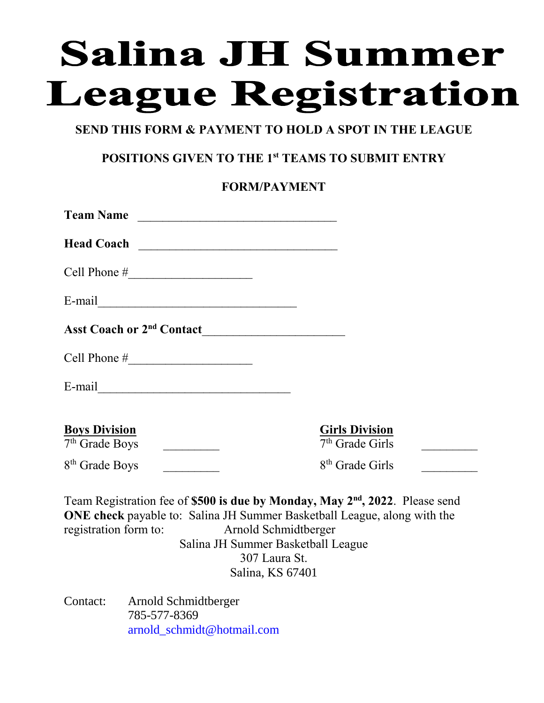# **Salina JH Summer League Registration**

#### **SEND THIS FORM & PAYMENT TO HOLD A SPOT IN THE LEAGUE**

#### **POSITIONS GIVEN TO THE 1st TEAMS TO SUBMIT ENTRY**

#### **FORM/PAYMENT**

| Team Name                                                                                                                                                                                                                                                                    |                                            |  |  |
|------------------------------------------------------------------------------------------------------------------------------------------------------------------------------------------------------------------------------------------------------------------------------|--------------------------------------------|--|--|
| Head Coach                                                                                                                                                                                                                                                                   |                                            |  |  |
| Cell Phone $\#$                                                                                                                                                                                                                                                              |                                            |  |  |
| E-mail                                                                                                                                                                                                                                                                       |                                            |  |  |
|                                                                                                                                                                                                                                                                              |                                            |  |  |
|                                                                                                                                                                                                                                                                              |                                            |  |  |
| E-mail                                                                                                                                                                                                                                                                       |                                            |  |  |
| <b>Boys Division</b><br>7 <sup>th</sup> Grade Boys<br><u> Listen de la componenta</u>                                                                                                                                                                                        | <b>Girls Division</b><br>$7th$ Grade Girls |  |  |
| 8 <sup>th</sup> Grade Boys                                                                                                                                                                                                                                                   | 8 <sup>th</sup> Grade Girls                |  |  |
| Team Registration fee of \$500 is due by Monday, May 2 <sup>nd</sup> , 2022. Please send<br>ONE check payable to: Salina JH Summer Basketball League, along with the<br>registration form to:<br>Arnold Schmidtberger<br>Salina JH Summer Basketball League<br>307 Laura St. |                                            |  |  |

Salina, KS 67401

Contact: Arnold Schmidtberger 785-577-8369 [arnold\\_schmidt@hotmail.com](mailto:arnold_schmidt@hotmail.com)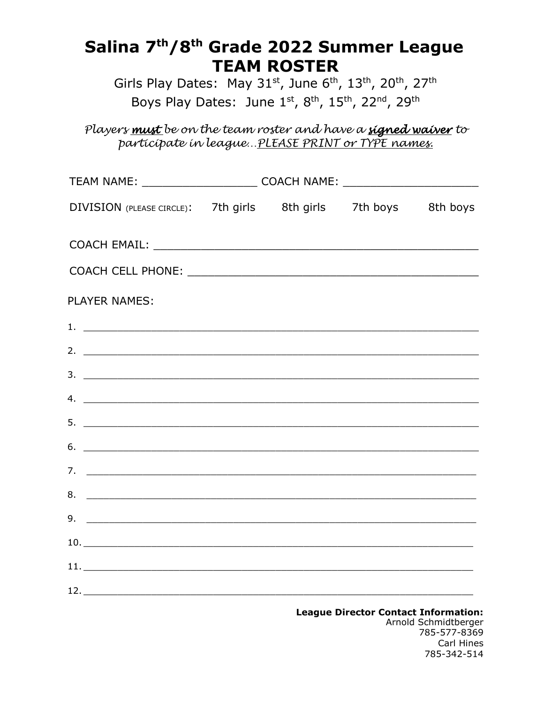# Salina 7<sup>th</sup>/8<sup>th</sup> Grade 2022 Summer League **TEAM ROSTER**

Girls Play Dates: May 31st, June 6th, 13th, 20th, 27th Boys Play Dates: June 1st, 8th, 15th, 22nd, 29th

Players must be on the team roster and have a signed waiver to participate in league... PLEASE PRINT or TYPE names.

| TEAM NAME: _____________________________ COACH NAME: ___________________________ |  |                                     |  |
|----------------------------------------------------------------------------------|--|-------------------------------------|--|
| DIVISION (PLEASE CIRCLE): 7th girls 8th girls 7th boys 8th boys                  |  |                                     |  |
|                                                                                  |  |                                     |  |
|                                                                                  |  |                                     |  |
| <b>PLAYER NAMES:</b>                                                             |  |                                     |  |
| 1. $\overline{\phantom{a}}$                                                      |  |                                     |  |
|                                                                                  |  |                                     |  |
| $3.$ $\overline{\phantom{a}}$                                                    |  |                                     |  |
| 4. $\overline{\phantom{a}}$                                                      |  |                                     |  |
| $5.$ $\overline{\phantom{a}}$                                                    |  |                                     |  |
|                                                                                  |  |                                     |  |
|                                                                                  |  |                                     |  |
|                                                                                  |  |                                     |  |
|                                                                                  |  |                                     |  |
|                                                                                  |  |                                     |  |
|                                                                                  |  |                                     |  |
|                                                                                  |  |                                     |  |
|                                                                                  |  | League Director Contact Information |  |

**Contact Information:**<br>Arnold Schmidtberger **League Director Co** 785-577-8369 Carl Hines 785-342-514